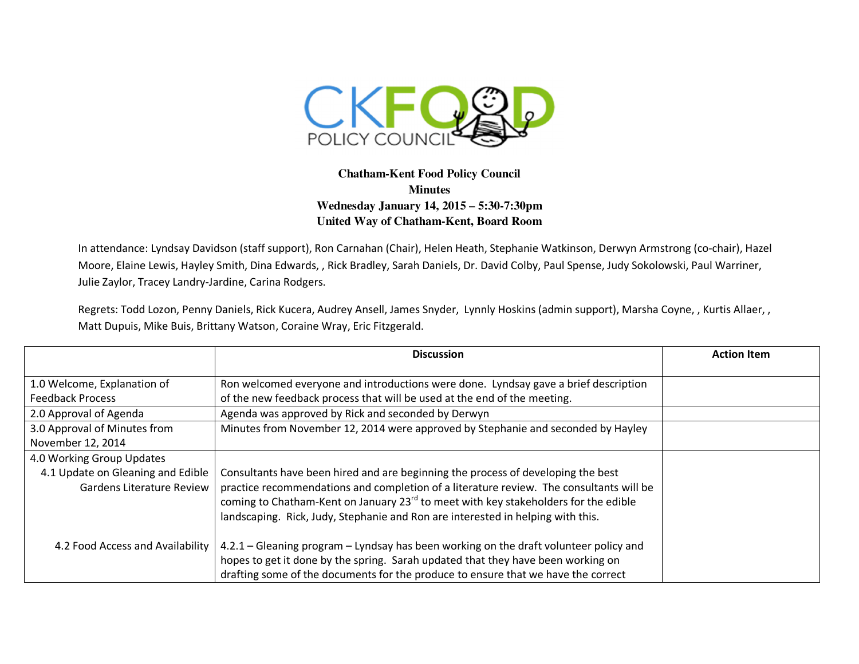

## **Chatham-Kent Food Policy Council Minutes Wednesday January 14, 2015 – 5:30-7:30pm United Way of Chatham-Kent, Board Room**

In attendance: Lyndsay Davidson (staff support), Ron Carnahan (Chair), Helen Heath, Stephanie Watkinson, Derwyn Armstrong (co-chair), Hazel Moore, Elaine Lewis, Hayley Smith, Dina Edwards, , Rick Bradley, Sarah Daniels, Dr. David Colby, Paul Spense, Judy Sokolowski, Paul Warriner, Julie Zaylor, Tracey Landry-Jardine, Carina Rodgers.

Regrets: Todd Lozon, Penny Daniels, Rick Kucera, Audrey Ansell, James Snyder, Lynnly Hoskins (admin support), Marsha Coyne, , Kurtis Allaer, , Matt Dupuis, Mike Buis, Brittany Watson, Coraine Wray, Eric Fitzgerald.

|                                   | <b>Discussion</b>                                                                               | <b>Action Item</b> |
|-----------------------------------|-------------------------------------------------------------------------------------------------|--------------------|
|                                   |                                                                                                 |                    |
| 1.0 Welcome, Explanation of       | Ron welcomed everyone and introductions were done. Lyndsay gave a brief description             |                    |
| <b>Feedback Process</b>           | of the new feedback process that will be used at the end of the meeting.                        |                    |
| 2.0 Approval of Agenda            | Agenda was approved by Rick and seconded by Derwyn                                              |                    |
| 3.0 Approval of Minutes from      | Minutes from November 12, 2014 were approved by Stephanie and seconded by Hayley                |                    |
| November 12, 2014                 |                                                                                                 |                    |
| 4.0 Working Group Updates         |                                                                                                 |                    |
| 4.1 Update on Gleaning and Edible | Consultants have been hired and are beginning the process of developing the best                |                    |
| Gardens Literature Review         | practice recommendations and completion of a literature review. The consultants will be         |                    |
|                                   | coming to Chatham-Kent on January 23 <sup>rd</sup> to meet with key stakeholders for the edible |                    |
|                                   | landscaping. Rick, Judy, Stephanie and Ron are interested in helping with this.                 |                    |
|                                   |                                                                                                 |                    |
| 4.2 Food Access and Availability  | 4.2.1 - Gleaning program - Lyndsay has been working on the draft volunteer policy and           |                    |
|                                   | hopes to get it done by the spring. Sarah updated that they have been working on                |                    |
|                                   | drafting some of the documents for the produce to ensure that we have the correct               |                    |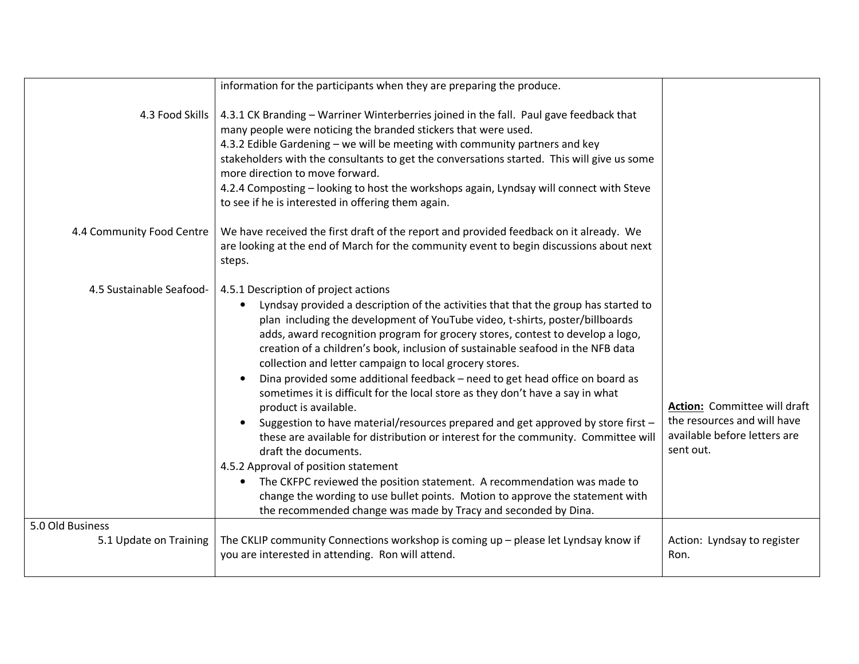|                                            | information for the participants when they are preparing the produce.                                                                                                                                                                                                                                                                                                                                                                                                                                                                                                                                                                                                                                                                                                                                                                                                                                                                                                                                                                                                                                                                                 |                                                                                                                 |
|--------------------------------------------|-------------------------------------------------------------------------------------------------------------------------------------------------------------------------------------------------------------------------------------------------------------------------------------------------------------------------------------------------------------------------------------------------------------------------------------------------------------------------------------------------------------------------------------------------------------------------------------------------------------------------------------------------------------------------------------------------------------------------------------------------------------------------------------------------------------------------------------------------------------------------------------------------------------------------------------------------------------------------------------------------------------------------------------------------------------------------------------------------------------------------------------------------------|-----------------------------------------------------------------------------------------------------------------|
| 4.3 Food Skills                            | 4.3.1 CK Branding - Warriner Winterberries joined in the fall. Paul gave feedback that<br>many people were noticing the branded stickers that were used.<br>4.3.2 Edible Gardening - we will be meeting with community partners and key<br>stakeholders with the consultants to get the conversations started. This will give us some<br>more direction to move forward.<br>4.2.4 Composting - looking to host the workshops again, Lyndsay will connect with Steve<br>to see if he is interested in offering them again.                                                                                                                                                                                                                                                                                                                                                                                                                                                                                                                                                                                                                             |                                                                                                                 |
| 4.4 Community Food Centre                  | We have received the first draft of the report and provided feedback on it already. We<br>are looking at the end of March for the community event to begin discussions about next<br>steps.                                                                                                                                                                                                                                                                                                                                                                                                                                                                                                                                                                                                                                                                                                                                                                                                                                                                                                                                                           |                                                                                                                 |
| 4.5 Sustainable Seafood-                   | 4.5.1 Description of project actions<br>Lyndsay provided a description of the activities that that the group has started to<br>$\bullet$<br>plan including the development of YouTube video, t-shirts, poster/billboards<br>adds, award recognition program for grocery stores, contest to develop a logo,<br>creation of a children's book, inclusion of sustainable seafood in the NFB data<br>collection and letter campaign to local grocery stores.<br>Dina provided some additional feedback - need to get head office on board as<br>sometimes it is difficult for the local store as they don't have a say in what<br>product is available.<br>Suggestion to have material/resources prepared and get approved by store first -<br>$\bullet$<br>these are available for distribution or interest for the community. Committee will<br>draft the documents.<br>4.5.2 Approval of position statement<br>The CKFPC reviewed the position statement. A recommendation was made to<br>$\bullet$<br>change the wording to use bullet points. Motion to approve the statement with<br>the recommended change was made by Tracy and seconded by Dina. | <b>Action:</b> Committee will draft<br>the resources and will have<br>available before letters are<br>sent out. |
| 5.0 Old Business<br>5.1 Update on Training | The CKLIP community Connections workshop is coming up - please let Lyndsay know if<br>you are interested in attending. Ron will attend.                                                                                                                                                                                                                                                                                                                                                                                                                                                                                                                                                                                                                                                                                                                                                                                                                                                                                                                                                                                                               | Action: Lyndsay to register<br>Ron.                                                                             |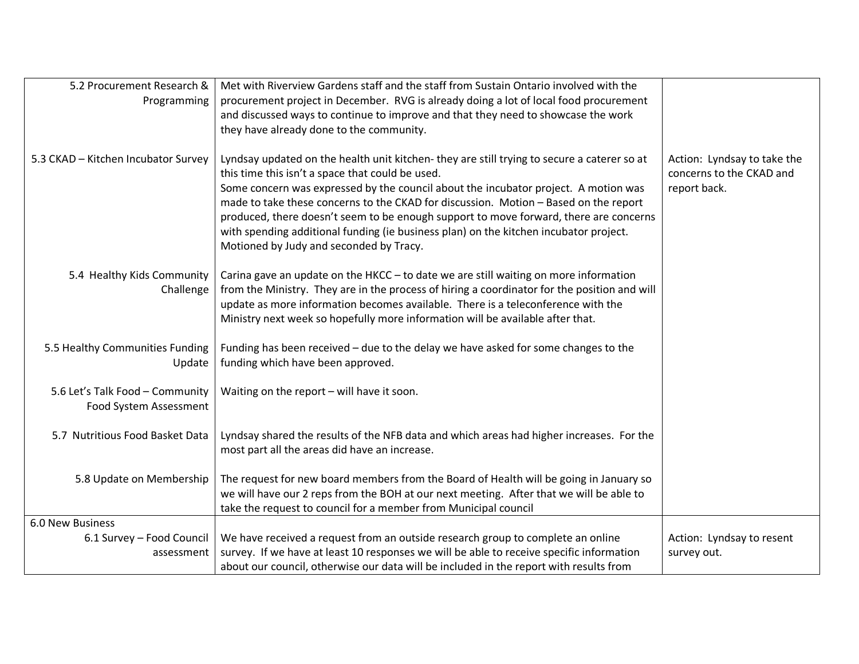| 5.2 Procurement Research &                                | Met with Riverview Gardens staff and the staff from Sustain Ontario involved with the                                                                                                                                                                                                                                                                                                                                                                                                                                                                      |                                                                         |
|-----------------------------------------------------------|------------------------------------------------------------------------------------------------------------------------------------------------------------------------------------------------------------------------------------------------------------------------------------------------------------------------------------------------------------------------------------------------------------------------------------------------------------------------------------------------------------------------------------------------------------|-------------------------------------------------------------------------|
| Programming                                               | procurement project in December. RVG is already doing a lot of local food procurement                                                                                                                                                                                                                                                                                                                                                                                                                                                                      |                                                                         |
|                                                           | and discussed ways to continue to improve and that they need to showcase the work                                                                                                                                                                                                                                                                                                                                                                                                                                                                          |                                                                         |
|                                                           | they have already done to the community.                                                                                                                                                                                                                                                                                                                                                                                                                                                                                                                   |                                                                         |
| 5.3 CKAD - Kitchen Incubator Survey                       | Lyndsay updated on the health unit kitchen-they are still trying to secure a caterer so at<br>this time this isn't a space that could be used.<br>Some concern was expressed by the council about the incubator project. A motion was<br>made to take these concerns to the CKAD for discussion. Motion - Based on the report<br>produced, there doesn't seem to be enough support to move forward, there are concerns<br>with spending additional funding (ie business plan) on the kitchen incubator project.<br>Motioned by Judy and seconded by Tracy. | Action: Lyndsay to take the<br>concerns to the CKAD and<br>report back. |
| 5.4 Healthy Kids Community<br>Challenge                   | Carina gave an update on the HKCC - to date we are still waiting on more information<br>from the Ministry. They are in the process of hiring a coordinator for the position and will<br>update as more information becomes available. There is a teleconference with the<br>Ministry next week so hopefully more information will be available after that.                                                                                                                                                                                                 |                                                                         |
| 5.5 Healthy Communities Funding<br>Update                 | Funding has been received - due to the delay we have asked for some changes to the<br>funding which have been approved.                                                                                                                                                                                                                                                                                                                                                                                                                                    |                                                                         |
| 5.6 Let's Talk Food - Community<br>Food System Assessment | Waiting on the report - will have it soon.                                                                                                                                                                                                                                                                                                                                                                                                                                                                                                                 |                                                                         |
| 5.7 Nutritious Food Basket Data                           | Lyndsay shared the results of the NFB data and which areas had higher increases. For the<br>most part all the areas did have an increase.                                                                                                                                                                                                                                                                                                                                                                                                                  |                                                                         |
| 5.8 Update on Membership                                  | The request for new board members from the Board of Health will be going in January so<br>we will have our 2 reps from the BOH at our next meeting. After that we will be able to<br>take the request to council for a member from Municipal council                                                                                                                                                                                                                                                                                                       |                                                                         |
| 6.0 New Business                                          |                                                                                                                                                                                                                                                                                                                                                                                                                                                                                                                                                            |                                                                         |
| 6.1 Survey - Food Council                                 | We have received a request from an outside research group to complete an online                                                                                                                                                                                                                                                                                                                                                                                                                                                                            | Action: Lyndsay to resent                                               |
| assessment                                                | survey. If we have at least 10 responses we will be able to receive specific information                                                                                                                                                                                                                                                                                                                                                                                                                                                                   | survey out.                                                             |
|                                                           | about our council, otherwise our data will be included in the report with results from                                                                                                                                                                                                                                                                                                                                                                                                                                                                     |                                                                         |